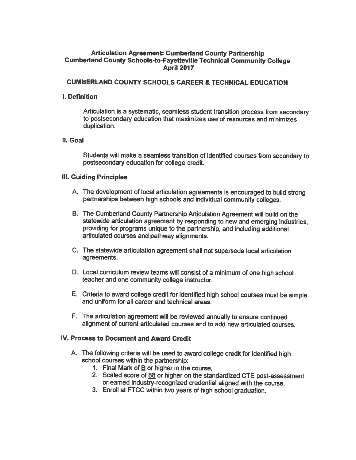### **Articulation Agreement: Cumberland County Partnership Cumberland County Schools-to-Fayetteville Technical Community College April 2017**

#### **CUMBERLAND COUNTY SCHOOLS CAREER & TECHNICAL EDUCATION**

#### **I.** Definition

Articulation is a systematic, seamless student transition process from secondary to postsecondary education that maximizes use of resources and minimizes duplication.

#### **II.** Goal

Students will make a seamless transition of identified courses from secondary to postsecondary education for college credit.

#### **III. Guiding Principles**

- A. The development of local articulation agreements is encouraged to build strong partnerships between high schools and individual community colleges.
- B. The Cumberland County Partnership Articulation Agreement will build on the statewide articulation agreement by responding to new and emerging industries. providing for programs unique to the partnership, and including additional articulated courses and pathway alignments.
- C. The statewide articulation agreement shall not supersede local articulation agreements.
- D. Local curriculum review teams will consist of a minimum of one high school teacher and one community college instructor.
- E. Criteria to award college credit for identified high school courses must be simple and uniform for all career and technical areas.
- F. The articulation agreement will be reviewed annually to ensure continued alignment of current articulated courses and to add new articulated courses.

#### IV. Process to Document and Award Credit

- A. The following criteria will be used to award college credit for identified high school courses within the partnership:
	- 1. Final Mark of  $\underline{B}$  or higher in the course.
	- 2. Scaled score of 88 or higher on the standardized CTE post-assessment or earned industry-recognized credential aligned with the course,
	- 3. Enroll at FTCC within two years of high school graduation.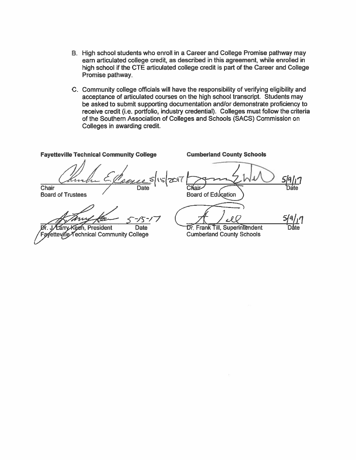- B. High school students who enroll in a Career and College Promise pathway may earn articulated college credit, as described in this agreement, while enrolled in high school if the CTE articulated college credit is part of the Career and College Promise pathway.
- C. Community college officials will have the responsibility of verifying eligibility and acceptance of articulated courses on the high school transcript. Students may be asked to submit supporting documentation and/or demonstrate proficiency to receive credit (i.e. portfolio, industry credential). Colleges must follow the criteria of the Southern Association of Colleges and Schools (SACS) Commission on Colleges in awarding credit.

**Cumberland County Schools Fayetteville Technical Community College** Chair  $C$ liaic **Board of Education Board of Trustees** <u> S/9/17</u> 15 **President** Dr. Frank Till, Superintendent **Date** Technical Community College **Cumberland County Schools** teville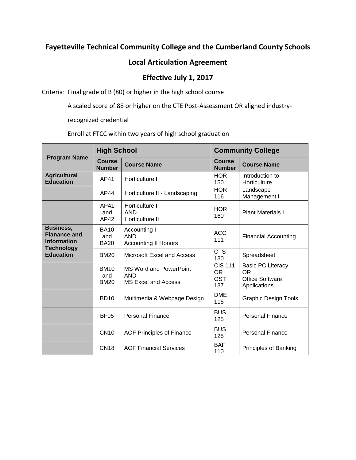# **Fayetteville Technical Community College and the Cumberland County Schools**

### **Local Articulation Agreement**

## **Effective July 1, 2017**

Criteria: Final grade of B (80) or higher in the high school course

A scaled score of 88 or higher on the CTE Post-Assessment OR aligned industry-

recognized credential

Enroll at FTCC within two years of high school graduation

| <b>Program Name</b>                                           | <b>High School</b>                |                                                                    | <b>Community College</b>                         |                                                                                 |
|---------------------------------------------------------------|-----------------------------------|--------------------------------------------------------------------|--------------------------------------------------|---------------------------------------------------------------------------------|
|                                                               | <b>Course</b><br><b>Number</b>    | <b>Course Name</b>                                                 | <b>Course</b><br><b>Number</b>                   | <b>Course Name</b>                                                              |
| <b>Agricultural</b><br><b>Education</b>                       | AP41                              | Horticulture I                                                     | <b>HOR</b><br>150                                | Introduction to<br>Horticulture                                                 |
|                                                               | AP44                              | Horticulture II - Landscaping                                      | <b>HOR</b><br>116                                | Landscape<br>Management I                                                       |
|                                                               | AP41<br>and<br>AP42               | Horticulture I<br><b>AND</b><br>Horticulture II                    | <b>HOR</b><br>160                                | <b>Plant Materials I</b>                                                        |
| <b>Business,</b><br><b>Fianance and</b><br><b>Information</b> | <b>BA10</b><br>and<br><b>BA20</b> | Accounting I<br><b>AND</b><br><b>Accounting II Honors</b>          | ACC<br>111                                       | <b>Financial Accounting</b>                                                     |
| <b>Technology</b><br><b>Education</b>                         | <b>BM20</b>                       | Microsoft Excel and Access                                         | <b>CTS</b><br>130                                | Spreadsheet                                                                     |
|                                                               | <b>BM10</b><br>and<br><b>BM20</b> | <b>MS Word and PowerPoint</b><br><b>AND</b><br>MS Excel and Access | <b>CIS 111</b><br><b>OR</b><br><b>OST</b><br>137 | <b>Basic PC Literacy</b><br><b>OR</b><br><b>Office Software</b><br>Applications |
|                                                               | <b>BD10</b>                       | Multimedia & Webpage Design                                        | <b>DME</b><br>115                                | <b>Graphic Design Tools</b>                                                     |
|                                                               | <b>BF05</b>                       | <b>Personal Finance</b>                                            | <b>BUS</b><br>125                                | <b>Personal Finance</b>                                                         |
|                                                               | <b>CN10</b>                       | AOF Principles of Finance                                          | <b>BUS</b><br>125                                | <b>Personal Finance</b>                                                         |
|                                                               | <b>CN18</b>                       | <b>AOF Financial Services</b>                                      | <b>BAF</b><br>110                                | Principles of Banking                                                           |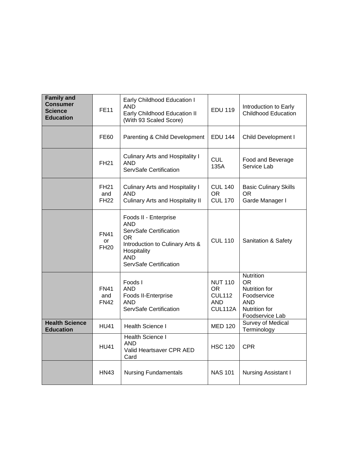| <b>Family and</b><br><b>Consumer</b><br>Science<br><b>Education</b> | <b>FE11</b>                       | Early Childhood Education I<br><b>AND</b><br>Early Childhood Education II<br>(With 93 Scaled Score)                                                     | <b>EDU 119</b>                                                  | Introduction to Early<br><b>Childhood Education</b>                                                |
|---------------------------------------------------------------------|-----------------------------------|---------------------------------------------------------------------------------------------------------------------------------------------------------|-----------------------------------------------------------------|----------------------------------------------------------------------------------------------------|
|                                                                     | <b>FE60</b>                       | Parenting & Child Development                                                                                                                           | <b>EDU 144</b>                                                  | Child Development I                                                                                |
|                                                                     | <b>FH21</b>                       | <b>Culinary Arts and Hospitality I</b><br><b>AND</b><br>ServSafe Certification                                                                          | <b>CUL</b><br>135A                                              | Food and Beverage<br>Service Lab                                                                   |
|                                                                     | <b>FH21</b><br>and<br><b>FH22</b> | <b>Culinary Arts and Hospitality I</b><br><b>AND</b><br><b>Culinary Arts and Hospitality II</b>                                                         | <b>CUL 140</b><br>OR.<br><b>CUL 170</b>                         | <b>Basic Culinary Skills</b><br>OR.<br>Garde Manager I                                             |
|                                                                     | <b>FN41</b><br>or<br><b>FH20</b>  | Foods II - Enterprise<br>AND<br>ServSafe Certification<br>OR.<br>Introduction to Culinary Arts &<br>Hospitality<br><b>AND</b><br>ServSafe Certification | <b>CUL 110</b>                                                  | Sanitation & Safety                                                                                |
|                                                                     | <b>FN41</b><br>and<br><b>FN42</b> | Foods I<br><b>AND</b><br>Foods II-Enterprise<br><b>AND</b><br>ServSafe Certification                                                                    | <b>NUT 110</b><br>OR.<br><b>CUL112</b><br><b>AND</b><br>CUL112A | Nutrition<br>OR.<br>Nutrition for<br>Foodservice<br><b>AND</b><br>Nutrition for<br>Foodservice Lab |
| <b>Health Science</b><br><b>Education</b>                           | <b>HU41</b>                       | Health Science I                                                                                                                                        | <b>MED 120</b>                                                  | Survey of Medical<br>Terminology                                                                   |
|                                                                     | <b>HU41</b>                       | <b>Health Science I</b><br><b>AND</b><br>Valid Heartsaver CPR AED<br>Card                                                                               | <b>HSC 120</b>                                                  | <b>CPR</b>                                                                                         |
|                                                                     | <b>HN43</b>                       | <b>Nursing Fundamentals</b>                                                                                                                             | <b>NAS 101</b>                                                  | <b>Nursing Assistant I</b>                                                                         |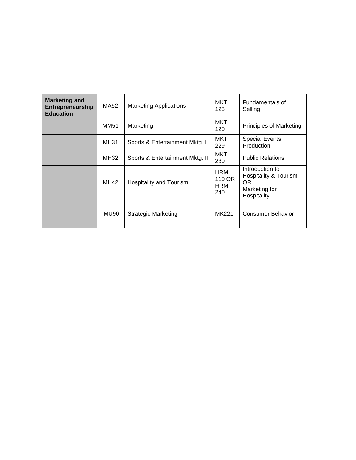| <b>Marketing and</b><br>Entrepreneurship<br><b>Education</b> | MA52        | <b>Marketing Applications</b>   | <b>MKT</b><br>123                         | Fundamentals of<br>Selling                                                                 |
|--------------------------------------------------------------|-------------|---------------------------------|-------------------------------------------|--------------------------------------------------------------------------------------------|
|                                                              | MM51        | Marketing                       | <b>MKT</b><br>120                         | <b>Principles of Marketing</b>                                                             |
|                                                              | <b>MH31</b> | Sports & Entertainment Mktg. I  | <b>MKT</b><br>229                         | <b>Special Events</b><br>Production                                                        |
|                                                              | MH32        | Sports & Entertainment Mktg. II | <b>MKT</b><br>230                         | <b>Public Relations</b>                                                                    |
|                                                              | MH42        | <b>Hospitality and Tourism</b>  | <b>HRM</b><br>110 OR<br><b>HRM</b><br>240 | Introduction to<br><b>Hospitality &amp; Tourism</b><br>OR.<br>Marketing for<br>Hospitality |
|                                                              | MU90        | Strategic Marketing             | MK221                                     | Consumer Behavior                                                                          |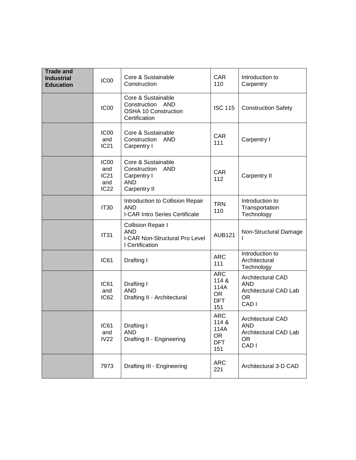| <b>Trade and</b><br><b>Industrial</b><br><b>Education</b> | IC <sub>00</sub>                                                  | Core & Sustainable<br>Construction                                                                  | <b>CAR</b><br>110                                             | Introduction to<br>Carpentry                                                        |
|-----------------------------------------------------------|-------------------------------------------------------------------|-----------------------------------------------------------------------------------------------------|---------------------------------------------------------------|-------------------------------------------------------------------------------------|
|                                                           | IC <sub>00</sub>                                                  | Core & Sustainable<br>Construction AND<br><b>OSHA 10 Construction</b><br>Certification              | <b>ISC 115</b>                                                | <b>Construction Safety</b>                                                          |
|                                                           | IC <sub>00</sub><br>and<br><b>IC21</b>                            | Core & Sustainable<br>Construction<br>AND<br>Carpentry I                                            | <b>CAR</b><br>111                                             | Carpentry I                                                                         |
|                                                           | IC <sub>00</sub><br>and<br><b>IC21</b><br>and<br>IC <sub>22</sub> | Core & Sustainable<br>Construction<br><b>AND</b><br>Carpentry I<br><b>AND</b><br>Carpentry II       | CAR<br>112                                                    | Carpentry II                                                                        |
|                                                           | <b>IT30</b>                                                       | Introduction to Collision Repair<br><b>AND</b><br><b>I-CAR Intro Series Certificate</b>             | <b>TRN</b><br>110                                             | Introduction to<br>Transportation<br>Technology                                     |
|                                                           | <b>IT31</b>                                                       | <b>Collision Repair I</b><br><b>AND</b><br><b>I-CAR Non-Structural Pro Level</b><br>I Certification | <b>AUB121</b>                                                 | Non-Structural Damage                                                               |
|                                                           | <b>IC61</b>                                                       | Drafting I                                                                                          | <b>ARC</b><br>111                                             | Introduction to<br>Architectural<br>Technology                                      |
|                                                           | <b>IC61</b><br>and<br>IC62                                        | Drafting I<br><b>AND</b><br>Drafting II - Architectural                                             | <b>ARC</b><br>114 &<br>114A<br><b>OR</b><br><b>DFT</b><br>151 | Architectural CAD<br><b>AND</b><br>Architectural CAD Lab<br><b>OR</b><br>CAD I      |
|                                                           | <b>IC61</b><br>and<br><b>IV22</b>                                 | Drafting I<br><b>AND</b><br>Drafting II - Engineering                                               | <b>ARC</b><br>114 &<br>114A<br><b>OR</b><br><b>DFT</b><br>151 | Architectural CAD<br><b>AND</b><br>Architectural CAD Lab<br>OR.<br>CAD <sub>I</sub> |
|                                                           | 7973                                                              | Drafting III - Engineering                                                                          | <b>ARC</b><br>221                                             | Architectural 3-D CAD                                                               |